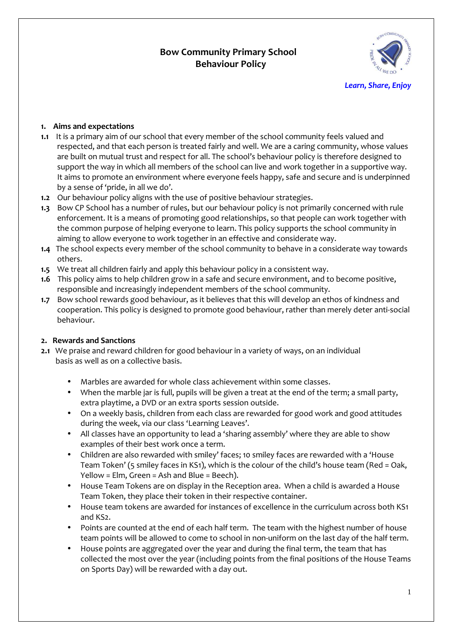# **Bow Community Primary School Behaviour Policy**



*Learn, Share, Enjoy* 

### **1. Aims and expectations**

- **1.1** It is a primary aim of our school that every member of the school community feels valued and respected, and that each person is treated fairly and well. We are a caring community, whose values are built on mutual trust and respect for all. The school's behaviour policy is therefore designed to support the way in which all members of the school can live and work together in a supportive way. It aims to promote an environment where everyone feels happy, safe and secure and is underpinned by a sense of 'pride, in all we do'.
- **1.2** Our behaviour policy aligns with the use of positive behaviour strategies.
- **1.3** Bow CP School has a number of rules, but our behaviour policy is not primarily concerned with rule enforcement. It is a means of promoting good relationships, so that people can work together with the common purpose of helping everyone to learn. This policy supports the school community in aiming to allow everyone to work together in an effective and considerate way.
- **1.4** The school expects every member of the school community to behave in a considerate way towards others.
- **1.5** We treat all children fairly and apply this behaviour policy in a consistent way.
- **1.6** This policy aims to help children grow in a safe and secure environment, and to become positive, responsible and increasingly independent members of the school community.
- **1.7** Bow school rewards good behaviour, as it believes that this will develop an ethos of kindness and cooperation. This policy is designed to promote good behaviour, rather than merely deter anti-social behaviour.

#### **2. Rewards and Sanctions**

- **2.1** We praise and reward children for good behaviour in a variety of ways, on an individual basis as well as on a collective basis.
	- Marbles are awarded for whole class achievement within some classes.
	- When the marble jar is full, pupils will be given a treat at the end of the term; a small party, extra playtime, a DVD or an extra sports session outside.
	- On a weekly basis, children from each class are rewarded for good work and good attitudes during the week, via our class 'Learning Leaves'.
	- All classes have an opportunity to lead a 'sharing assembly' where they are able to show examples of their best work once a term.
	- Children are also rewarded with smiley' faces; 10 smiley faces are rewarded with a 'House Team Token' (5 smiley faces in KS1), which is the colour of the child's house team (Red = Oak, Yellow = Elm, Green = Ash and Blue = Beech).
	- House Team Tokens are on display in the Reception area. When a child is awarded a House Team Token, they place their token in their respective container.
	- House team tokens are awarded for instances of excellence in the curriculum across both KS1 and KS2.
	- Points are counted at the end of each half term. The team with the highest number of house team points will be allowed to come to school in non-uniform on the last day of the half term.
	- House points are aggregated over the year and during the final term, the team that has collected the most over the year (including points from the final positions of the House Teams on Sports Day) will be rewarded with a day out.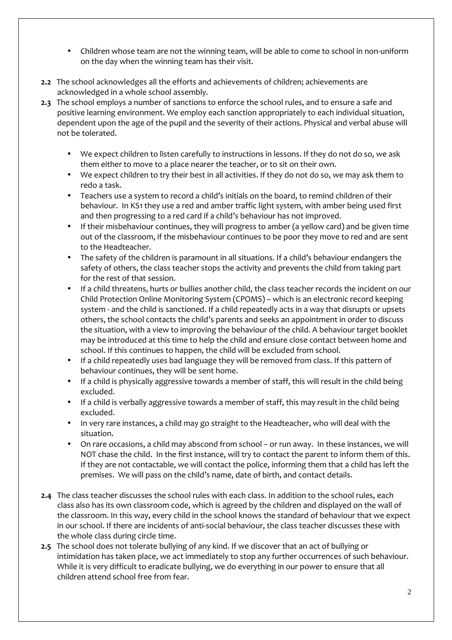- Children whose team are not the winning team, will be able to come to school in non-uniform on the day when the winning team has their visit.
- **2.2** The school acknowledges all the efforts and achievements of children; achievements are acknowledged in a whole school assembly.
- **2.3** The school employs a number of sanctions to enforce the school rules, and to ensure a safe and positive learning environment. We employ each sanction appropriately to each individual situation, dependent upon the age of the pupil and the severity of their actions. Physical and verbal abuse will not be tolerated.
	- We expect children to listen carefully to instructions in lessons. If they do not do so, we ask them either to move to a place nearer the teacher, or to sit on their own.
	- We expect children to try their best in all activities. If they do not do so, we may ask them to redo a task.
	- Teachers use a system to record a child's initials on the board, to remind children of their behaviour. In KS1 they use a red and amber traffic light system, with amber being used first and then progressing to a red card if a child's behaviour has not improved.
	- If their misbehaviour continues, they will progress to amber (a yellow card) and be given time out of the classroom, if the misbehaviour continues to be poor they move to red and are sent to the Headteacher.
	- The safety of the children is paramount in all situations. If a child's behaviour endangers the safety of others, the class teacher stops the activity and prevents the child from taking part for the rest of that session.
	- If a child threatens, hurts or bullies another child, the class teacher records the incident on our Child Protection Online Monitoring System (CPOMS) – which is an electronic record keeping system - and the child is sanctioned. If a child repeatedly acts in a way that disrupts or upsets others, the school contacts the child's parents and seeks an appointment in order to discuss the situation, with a view to improving the behaviour of the child. A behaviour target booklet may be introduced at this time to help the child and ensure close contact between home and school. If this continues to happen, the child will be excluded from school.
	- If a child repeatedly uses bad language they will be removed from class. If this pattern of behaviour continues, they will be sent home.
	- If a child is physically aggressive towards a member of staff, this will result in the child being excluded.
	- If a child is verbally aggressive towards a member of staff, this may result in the child being excluded.
	- In very rare instances, a child may go straight to the Headteacher, who will deal with the situation.
	- On rare occasions, a child may abscond from school or run away. In these instances, we will NOT chase the child. In the first instance, will try to contact the parent to inform them of this. If they are not contactable, we will contact the police, informing them that a child has left the premises. We will pass on the child's name, date of birth, and contact details.
- **2.4** The class teacher discusses the school rules with each class. In addition to the school rules, each class also has its own classroom code, which is agreed by the children and displayed on the wall of the classroom. In this way, every child in the school knows the standard of behaviour that we expect in our school. If there are incidents of anti-social behaviour, the class teacher discusses these with the whole class during circle time.
- **2.5** The school does not tolerate bullying of any kind. If we discover that an act of bullying or intimidation has taken place, we act immediately to stop any further occurrences of such behaviour. While it is very difficult to eradicate bullying, we do everything in our power to ensure that all children attend school free from fear.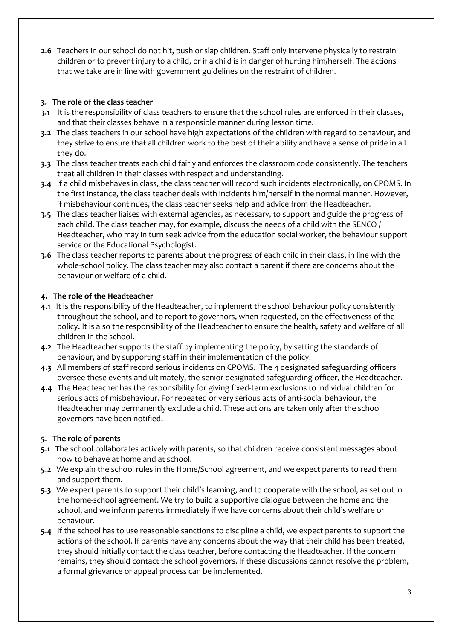**2.6** Teachers in our school do not hit, push or slap children. Staff only intervene physically to restrain children or to prevent injury to a child, or if a child is in danger of hurting him/herself. The actions that we take are in line with government guidelines on the restraint of children.

## **3. The role of the class teacher**

- **3.1** It is the responsibility of class teachers to ensure that the school rules are enforced in their classes, and that their classes behave in a responsible manner during lesson time.
- **3.2** The class teachers in our school have high expectations of the children with regard to behaviour, and they strive to ensure that all children work to the best of their ability and have a sense of pride in all they do.
- **3.3** The class teacher treats each child fairly and enforces the classroom code consistently. The teachers treat all children in their classes with respect and understanding.
- **3.4** If a child misbehaves in class, the class teacher will record such incidents electronically, on CPOMS. In the first instance, the class teacher deals with incidents him/herself in the normal manner. However, if misbehaviour continues, the class teacher seeks help and advice from the Headteacher.
- **3.5** The class teacher liaises with external agencies, as necessary, to support and guide the progress of each child. The class teacher may, for example, discuss the needs of a child with the SENCO / Headteacher, who may in turn seek advice from the education social worker, the behaviour support service or the Educational Psychologist.
- **3.6** The class teacher reports to parents about the progress of each child in their class, in line with the whole-school policy. The class teacher may also contact a parent if there are concerns about the behaviour or welfare of a child.

## **4. The role of the Headteacher**

- **4.1** It is the responsibility of the Headteacher, to implement the school behaviour policy consistently throughout the school, and to report to governors, when requested, on the effectiveness of the policy. It is also the responsibility of the Headteacher to ensure the health, safety and welfare of all children in the school.
- **4.2** The Headteacher supports the staff by implementing the policy, by setting the standards of behaviour, and by supporting staff in their implementation of the policy.
- **4.3** All members of staff record serious incidents on CPOMS. The 4 designated safeguarding officers oversee these events and ultimately, the senior designated safeguarding officer, the Headteacher.
- **4.4** The Headteacher has the responsibility for giving fixed-term exclusions to individual children for serious acts of misbehaviour. For repeated or very serious acts of anti-social behaviour, the Headteacher may permanently exclude a child. These actions are taken only after the school governors have been notified.

## **5. The role of parents**

- **5.1** The school collaborates actively with parents, so that children receive consistent messages about how to behave at home and at school.
- **5.2** We explain the school rules in the Home/School agreement, and we expect parents to read them and support them.
- **5.3** We expect parents to support their child's learning, and to cooperate with the school, as set out in the home-school agreement. We try to build a supportive dialogue between the home and the school, and we inform parents immediately if we have concerns about their child's welfare or behaviour.
- **5.4** If the school has to use reasonable sanctions to discipline a child, we expect parents to support the actions of the school. If parents have any concerns about the way that their child has been treated, they should initially contact the class teacher, before contacting the Headteacher. If the concern remains, they should contact the school governors. If these discussions cannot resolve the problem, a formal grievance or appeal process can be implemented.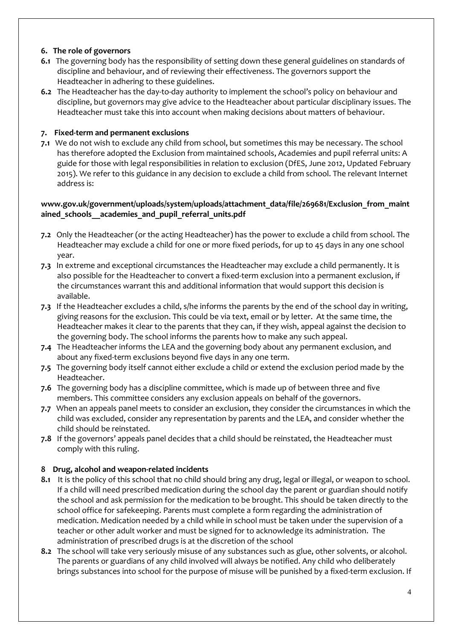## **6. The role of governors**

- **6.1** The governing body has the responsibility of setting down these general guidelines on standards of discipline and behaviour, and of reviewing their effectiveness. The governors support the Headteacher in adhering to these guidelines.
- **6.2** The Headteacher has the day-to-day authority to implement the school's policy on behaviour and discipline, but governors may give advice to the Headteacher about particular disciplinary issues. The Headteacher must take this into account when making decisions about matters of behaviour.

#### **7. Fixed-term and permanent exclusions**

**7.1** We do not wish to exclude any child from school, but sometimes this may be necessary. The school has therefore adopted the Exclusion from maintained schools, Academies and pupil referral units: A guide for those with legal responsibilities in relation to exclusion (DfES, June 2012, Updated February 2015). We refer to this guidance in any decision to exclude a child from school. The relevant Internet address is:

## **www.gov.uk/government/uploads/system/uploads/attachment\_data/file/269681/Exclusion\_from\_maint ained\_schools\_\_academies\_and\_pupil\_referral\_units.pdf**

- **7.2** Only the Headteacher (or the acting Headteacher) has the power to exclude a child from school. The Headteacher may exclude a child for one or more fixed periods, for up to 45 days in any one school year.
- **7.3** In extreme and exceptional circumstances the Headteacher may exclude a child permanently. It is also possible for the Headteacher to convert a fixed-term exclusion into a permanent exclusion, if the circumstances warrant this and additional information that would support this decision is available.
- **7.3** If the Headteacher excludes a child, s/he informs the parents by the end of the school day in writing, giving reasons for the exclusion. This could be via text, email or by letter. At the same time, the Headteacher makes it clear to the parents that they can, if they wish, appeal against the decision to the governing body. The school informs the parents how to make any such appeal.
- **7.4** The Headteacher informs the LEA and the governing body about any permanent exclusion, and about any fixed-term exclusions beyond five days in any one term.
- **7.5** The governing body itself cannot either exclude a child or extend the exclusion period made by the Headteacher.
- **7.6** The governing body has a discipline committee, which is made up of between three and five members. This committee considers any exclusion appeals on behalf of the governors.
- **7.7** When an appeals panel meets to consider an exclusion, they consider the circumstances in which the child was excluded, consider any representation by parents and the LEA, and consider whether the child should be reinstated.
- **7.8** If the governors' appeals panel decides that a child should be reinstated, the Headteacher must comply with this ruling.

#### **8 Drug, alcohol and weapon-related incidents**

- **8.1** It is the policy of this school that no child should bring any drug, legal or illegal, or weapon to school. If a child will need prescribed medication during the school day the parent or guardian should notify the school and ask permission for the medication to be brought. This should be taken directly to the school office for safekeeping. Parents must complete a form regarding the administration of medication. Medication needed by a child while in school must be taken under the supervision of a teacher or other adult worker and must be signed for to acknowledge its administration. The administration of prescribed drugs is at the discretion of the school
- **8.2** The school will take very seriously misuse of any substances such as glue, other solvents, or alcohol. The parents or guardians of any child involved will always be notified. Any child who deliberately brings substances into school for the purpose of misuse will be punished by a fixed-term exclusion. If